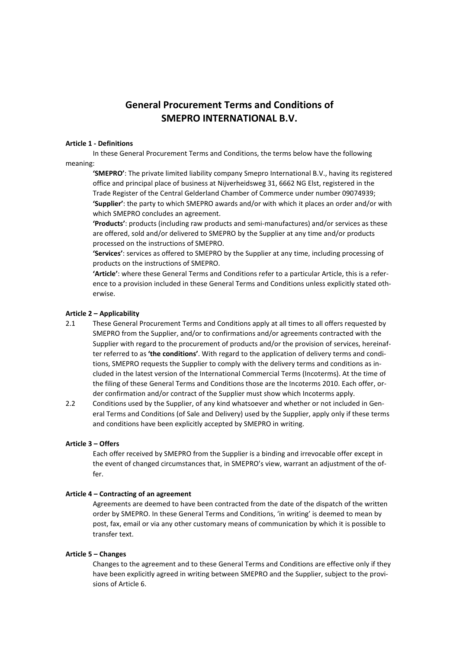# **General Procurement Terms and Conditions of SMEPRO INTERNATIONAL B.V.**

#### **Article 1 - Definitions**

In these General Procurement Terms and Conditions, the terms below have the following meaning:

**'SMEPRO'**: The private limited liability company Smepro International B.V., having its registered office and principal place of business at Nijverheidsweg 31, 6662 NG Elst, registered in the Trade Register of the Central Gelderland Chamber of Commerce under number 09074939; **'Supplier'**: the party to which SMEPRO awards and/or with which it places an order and/or with which SMEPRO concludes an agreement.

**'Products'**: products (including raw products and semi-manufactures) and/or services as these are offered, sold and/or delivered to SMEPRO by the Supplier at any time and/or products processed on the instructions of SMEPRO.

**'Services'**: services as offered to SMEPRO by the Supplier at any time, including processing of products on the instructions of SMEPRO.

**'Article'**: where these General Terms and Conditions refer to a particular Article, this is a reference to a provision included in these General Terms and Conditions unless explicitly stated otherwise.

## **Article 2 – Applicability**

- 2.1 These General Procurement Terms and Conditions apply at all times to all offers requested by SMEPRO from the Supplier, and/or to confirmations and/or agreements contracted with the Supplier with regard to the procurement of products and/or the provision of services, hereinafter referred to as **'the conditions'**. With regard to the application of delivery terms and conditions, SMEPRO requests the Supplier to comply with the delivery terms and conditions as included in the latest version of the International Commercial Terms (Incoterms). At the time of the filing of these General Terms and Conditions those are the Incoterms 2010. Each offer, order confirmation and/or contract of the Supplier must show which Incoterms apply.
- 2.2 Conditions used by the Supplier, of any kind whatsoever and whether or not included in General Terms and Conditions (of Sale and Delivery) used by the Supplier, apply only if these terms and conditions have been explicitly accepted by SMEPRO in writing.

## **Article 3 – Offers**

Each offer received by SMEPRO from the Supplier is a binding and irrevocable offer except in the event of changed circumstances that, in SMEPRO's view, warrant an adjustment of the offer.

## **Article 4 – Contracting of an agreement**

Agreements are deemed to have been contracted from the date of the dispatch of the written order by SMEPRO. In these General Terms and Conditions, 'in writing' is deemed to mean by post, fax, email or via any other customary means of communication by which it is possible to transfer text.

## **Article 5 – Changes**

Changes to the agreement and to these General Terms and Conditions are effective only if they have been explicitly agreed in writing between SMEPRO and the Supplier, subject to the provisions of Article 6.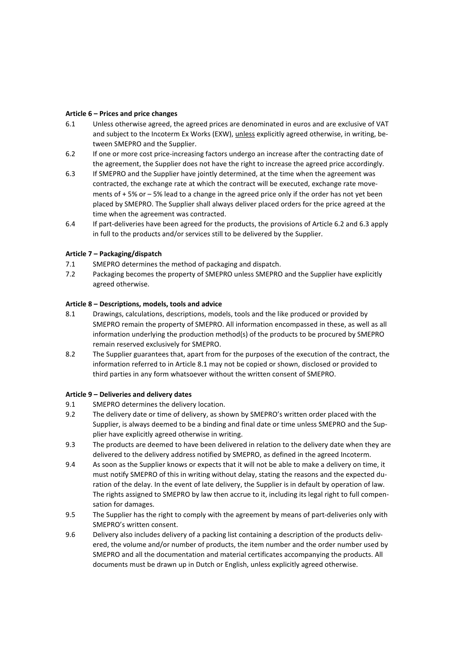## **Article 6 – Prices and price changes**

- 6.1 Unless otherwise agreed, the agreed prices are denominated in euros and are exclusive of VAT and subject to the Incoterm Ex Works (EXW), unless explicitly agreed otherwise, in writing, between SMEPRO and the Supplier.
- 6.2 If one or more cost price-increasing factors undergo an increase after the contracting date of the agreement, the Supplier does not have the right to increase the agreed price accordingly.
- 6.3 If SMEPRO and the Supplier have jointly determined, at the time when the agreement was contracted, the exchange rate at which the contract will be executed, exchange rate movements of + 5% or – 5% lead to a change in the agreed price only if the order has not yet been placed by SMEPRO. The Supplier shall always deliver placed orders for the price agreed at the time when the agreement was contracted.
- 6.4 If part-deliveries have been agreed for the products, the provisions of Article 6.2 and 6.3 apply in full to the products and/or services still to be delivered by the Supplier.

# **Article 7 – Packaging/dispatch**

- 7.1 SMEPRO determines the method of packaging and dispatch.
- 7.2 Packaging becomes the property of SMEPRO unless SMEPRO and the Supplier have explicitly agreed otherwise.

## **Article 8 – Descriptions, models, tools and advice**

- 8.1 Drawings, calculations, descriptions, models, tools and the like produced or provided by SMEPRO remain the property of SMEPRO. All information encompassed in these, as well as all information underlying the production method(s) of the products to be procured by SMEPRO remain reserved exclusively for SMEPRO.
- 8.2 The Supplier guarantees that, apart from for the purposes of the execution of the contract, the information referred to in Article 8.1 may not be copied or shown, disclosed or provided to third parties in any form whatsoever without the written consent of SMEPRO.

## **Article 9 – Deliveries and delivery dates**

- 9.1 SMEPRO determines the delivery location.
- 9.2 The delivery date or time of delivery, as shown by SMEPRO's written order placed with the Supplier, is always deemed to be a binding and final date or time unless SMEPRO and the Supplier have explicitly agreed otherwise in writing.
- 9.3 The products are deemed to have been delivered in relation to the delivery date when they are delivered to the delivery address notified by SMEPRO, as defined in the agreed Incoterm.
- 9.4 As soon as the Supplier knows or expects that it will not be able to make a delivery on time, it must notify SMEPRO of this in writing without delay, stating the reasons and the expected duration of the delay. In the event of late delivery, the Supplier is in default by operation of law. The rights assigned to SMEPRO by law then accrue to it, including its legal right to full compensation for damages.
- 9.5 The Supplier has the right to comply with the agreement by means of part-deliveries only with SMEPRO's written consent.
- 9.6 Delivery also includes delivery of a packing list containing a description of the products delivered, the volume and/or number of products, the item number and the order number used by SMEPRO and all the documentation and material certificates accompanying the products. All documents must be drawn up in Dutch or English, unless explicitly agreed otherwise.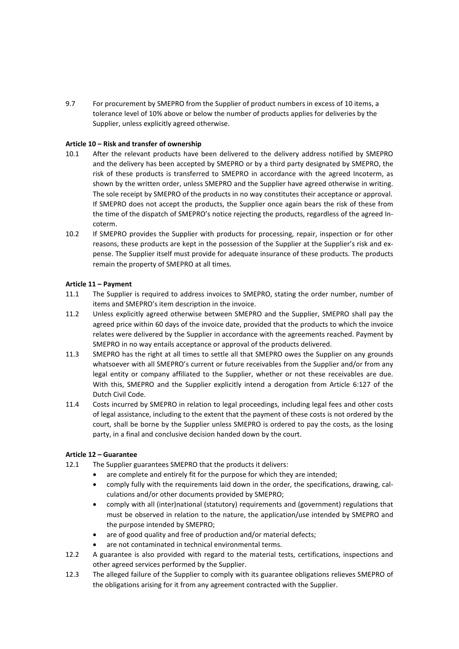9.7 For procurement by SMEPRO from the Supplier of product numbers in excess of 10 items, a tolerance level of 10% above or below the number of products applies for deliveries by the Supplier, unless explicitly agreed otherwise.

# **Article 10 – Risk and transfer of ownership**

- 10.1 After the relevant products have been delivered to the delivery address notified by SMEPRO and the delivery has been accepted by SMEPRO or by a third party designated by SMEPRO, the risk of these products is transferred to SMEPRO in accordance with the agreed Incoterm, as shown by the written order, unless SMEPRO and the Supplier have agreed otherwise in writing. The sole receipt by SMEPRO of the products in no way constitutes their acceptance or approval. If SMEPRO does not accept the products, the Supplier once again bears the risk of these from the time of the dispatch of SMEPRO's notice rejecting the products, regardless of the agreed Incoterm.
- 10.2 If SMEPRO provides the Supplier with products for processing, repair, inspection or for other reasons, these products are kept in the possession of the Supplier at the Supplier's risk and expense. The Supplier itself must provide for adequate insurance of these products. The products remain the property of SMEPRO at all times.

# **Article 11 – Payment**

- 11.1 The Supplier is required to address invoices to SMEPRO, stating the order number, number of items and SMEPRO's item description in the invoice.
- 11.2 Unless explicitly agreed otherwise between SMEPRO and the Supplier, SMEPRO shall pay the agreed price within 60 days of the invoice date, provided that the products to which the invoice relates were delivered by the Supplier in accordance with the agreements reached. Payment by SMEPRO in no way entails acceptance or approval of the products delivered.
- 11.3 SMEPRO has the right at all times to settle all that SMEPRO owes the Supplier on any grounds whatsoever with all SMEPRO's current or future receivables from the Supplier and/or from any legal entity or company affiliated to the Supplier, whether or not these receivables are due. With this, SMEPRO and the Supplier explicitly intend a derogation from Article 6:127 of the Dutch Civil Code.
- 11.4 Costs incurred by SMEPRO in relation to legal proceedings, including legal fees and other costs of legal assistance, including to the extent that the payment of these costs is not ordered by the court, shall be borne by the Supplier unless SMEPRO is ordered to pay the costs, as the losing party, in a final and conclusive decision handed down by the court.

## **Article 12 – Guarantee**

- 12.1 The Supplier guarantees SMEPRO that the products it delivers:
	- are complete and entirely fit for the purpose for which they are intended;
	- comply fully with the requirements laid down in the order, the specifications, drawing, calculations and/or other documents provided by SMEPRO;
	- comply with all (inter)national (statutory) requirements and (government) regulations that must be observed in relation to the nature, the application/use intended by SMEPRO and the purpose intended by SMEPRO;
	- are of good quality and free of production and/or material defects;
	- are not contaminated in technical environmental terms.
- 12.2 A guarantee is also provided with regard to the material tests, certifications, inspections and other agreed services performed by the Supplier.
- 12.3 The alleged failure of the Supplier to comply with its guarantee obligations relieves SMEPRO of the obligations arising for it from any agreement contracted with the Supplier.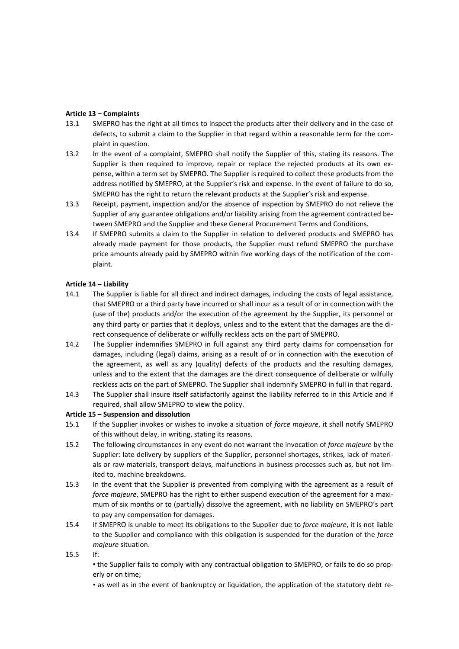# **Article 13 – Complaints**

- 13.1 SMEPRO has the right at all times to inspect the products after their delivery and in the case of defects, to submit a claim to the Supplier in that regard within a reasonable term for the complaint in question.
- 13.2 In the event of a complaint, SMEPRO shall notify the Supplier of this, stating its reasons. The Supplier is then required to improve, repair or replace the rejected products at its own expense, within a term set by SMEPRO. The Supplier is required to collect these products from the address notified by SMEPRO, at the Supplier's risk and expense. In the event of failure to do so, SMEPRO has the right to return the relevant products at the Supplier's risk and expense.
- 13.3 Receipt, payment, inspection and/or the absence of inspection by SMEPRO do not relieve the Supplier of any guarantee obligations and/or liability arising from the agreement contracted between SMEPRO and the Supplier and these General Procurement Terms and Conditions.
- 13.4 If SMEPRO submits a claim to the Supplier in relation to delivered products and SMEPRO has already made payment for those products, the Supplier must refund SMEPRO the purchase price amounts already paid by SMEPRO within five working days of the notification of the complaint.

## **Article 14 – Liability**

- 14.1 The Supplier is liable for all direct and indirect damages, including the costs of legal assistance, that SMEPRO or a third party have incurred or shall incur as a result of or in connection with the (use of the) products and/or the execution of the agreement by the Supplier, its personnel or any third party or parties that it deploys, unless and to the extent that the damages are the direct consequence of deliberate or wilfully reckless acts on the part of SMEPRO.
- 14.2 The Supplier indemnifies SMEPRO in full against any third party claims for compensation for damages, including (legal) claims, arising as a result of or in connection with the execution of the agreement, as well as any (quality) defects of the products and the resulting damages, unless and to the extent that the damages are the direct consequence of deliberate or wilfully reckless acts on the part of SMEPRO. The Supplier shall indemnify SMEPRO in full in that regard.
- 14.3 The Supplier shall insure itself satisfactorily against the liability referred to in this Article and if required, shall allow SMEPRO to view the policy.

## **Article 15 – Suspension and dissolution**

- 15.1 If the Supplier invokes or wishes to invoke a situation of *force majeure*, it shall notify SMEPRO of this without delay, in writing, stating its reasons.
- 15.2 The following circumstances in any event do not warrant the invocation of *force majeure* by the Supplier: late delivery by suppliers of the Supplier, personnel shortages, strikes, lack of materials or raw materials, transport delays, malfunctions in business processes such as, but not limited to, machine breakdowns.
- 15.3 In the event that the Supplier is prevented from complying with the agreement as a result of *force majeure*, SMEPRO has the right to either suspend execution of the agreement for a maximum of six months or to (partially) dissolve the agreement, with no liability on SMEPRO's part to pay any compensation for damages.
- 15.4 If SMEPRO is unable to meet its obligations to the Supplier due to *force majeure*, it is not liable to the Supplier and compliance with this obligation is suspended for the duration of the *force majeure* situation.
- 15.5 If:

▪ the Supplier fails to comply with any contractual obligation to SMEPRO, or fails to do so properly or on time;

▪ as well as in the event of bankruptcy or liquidation, the application of the statutory debt re-